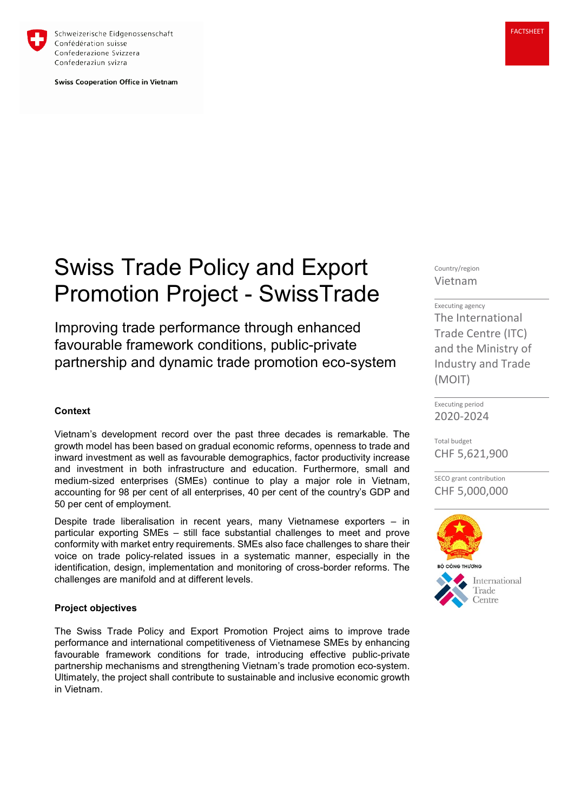

Schweizerische Eidgenossenschaft Confédération suisse Confederazione Svizzera Confederaziun svizra

**Swiss Cooperation Office in Vietnam** 

# Swiss Trade Policy and Export Promotion Project - SwissTrade

Improving trade performance through enhanced favourable framework conditions, public-private partnership and dynamic trade promotion eco-system

## **Context**

Vietnam's development record over the past three decades is remarkable. The growth model has been based on gradual economic reforms, openness to trade and inward investment as well as favourable demographics, factor productivity increase and investment in both infrastructure and education. Furthermore, small and medium-sized enterprises (SMEs) continue to play a major role in Vietnam, accounting for 98 per cent of all enterprises, 40 per cent of the country's GDP and 50 per cent of employment.

Despite trade liberalisation in recent years, many Vietnamese exporters – in particular exporting SMEs – still face substantial challenges to meet and prove conformity with market entry requirements. SMEs also face challenges to share their voice on trade policy-related issues in a systematic manner, especially in the identification, design, implementation and monitoring of cross-border reforms. The challenges are manifold and at different levels.

# **Project objectives**

The Swiss Trade Policy and Export Promotion Project aims to improve trade performance and international competitiveness of Vietnamese SMEs by enhancing favourable framework conditions for trade, introducing effective public-private partnership mechanisms and strengthening Vietnam's trade promotion eco-system. Ultimately, the project shall contribute to sustainable and inclusive economic growth in Vietnam.

Country/region Vietnam

### Executing agency

The International Trade Centre (ITC) and the Ministry of Industry and Trade (MOIT)

Executing period 2020-2024

Total budget CHF 5,621,900

SECO grant contribution CHF 5,000,000



International Centre